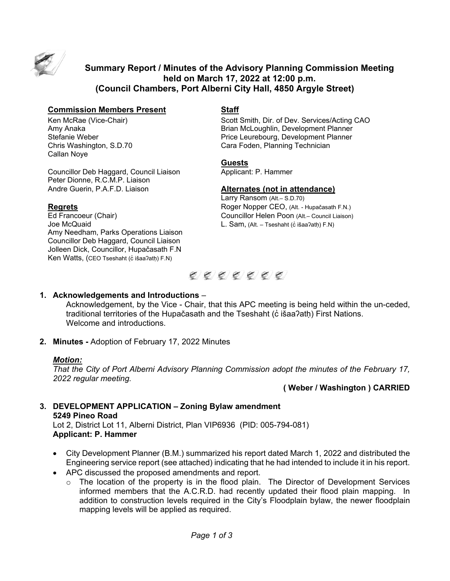

# **Summary Report / Minutes of the Advisory Planning Commission Meeting held on March 17, 2022 at 12:00 p.m. (Council Chambers, Port Alberni City Hall, 4850 Argyle Street)**

### **Commission Members Present Staff**

Callan Noye

Councillor Deb Haggard, Council Liaison **Applicant: P. Hammer** Peter Dionne, R.C.M.P. Liaison Andre Guerin, P.A.F.D. Liaison **Alternates (not in attendance)**

Joe McQuaid **L. Sam, (Alt. – Tseshaht (c̓ išaa**?ath) F.N) Amy Needham, Parks Operations Liaison Councillor Deb Haggard, Council Liaison Jolleen Dick, Councillor, Hupačasath F.N Ken Watts, (CEO Tseshaht (c išaa?ath) F.N)

Ken McRae (Vice-Chair) Scott Smith, Dir. of Dev. Services/Acting CAO<br>Amy Anaka Scott Smith, Development Planner Brian McLoughlin, Development Planner Stefanie Weber Price Leurebourg, Development Planner Cara Foden, Planning Technician

#### **Guests**

Larry Ransom (Alt.– S.D.70) **Regrets**<br> **Roger Nopper CEO**, (Alt. - Hupačasath F.N.)<br> **Ed Francoeur (Chair)** Councillor Helen Poon (Alt.– Council Liaison) Councillor Helen Poon (Alt.– Council Liaison)



### **1. Acknowledgements and Introductions** –

Acknowledgement, by the Vice - Chair, that this APC meeting is being held within the un-ceded, traditional territories of the Hupačasath and the Tseshaht (c išaa?ath) First Nations. Welcome and introductions.

**2. Minutes -** Adoption of February 17, 2022 Minutes

# *Motion:*

*That the City of Port Alberni Advisory Planning Commission adopt the minutes of the February 17, 2022 regular meeting.*

# **( Weber / Washington ) CARRIED**

#### **3. DEVELOPMENT APPLICATION – Zoning Bylaw amendment 5249 Pineo Road**  Lot 2, District Lot 11, Alberni District, Plan VIP6936 (PID: 005-794-081) **Applicant: P. Hammer**

- City Development Planner (B.M.) summarized his report dated March 1, 2022 and distributed the Engineering service report (see attached) indicating that he had intended to include it in his report.
- APC discussed the proposed amendments and report.
	- $\circ$  The location of the property is in the flood plain. The Director of Development Services informed members that the A.C.R.D. had recently updated their flood plain mapping. In addition to construction levels required in the City's Floodplain bylaw, the newer floodplain mapping levels will be applied as required.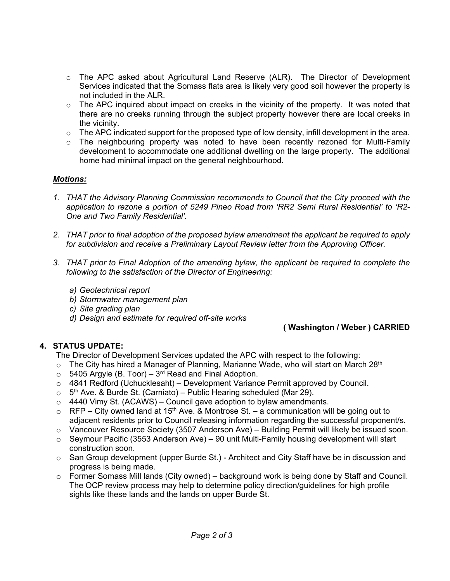- $\circ$  The APC asked about Agricultural Land Reserve (ALR). The Director of Development Services indicated that the Somass flats area is likely very good soil however the property is not included in the ALR.
- $\circ$  The APC inquired about impact on creeks in the vicinity of the property. It was noted that there are no creeks running through the subject property however there are local creeks in the vicinity.
- o The APC indicated support for the proposed type of low density, infill development in the area.
- $\circ$  The neighbouring property was noted to have been recently rezoned for Multi-Family development to accommodate one additional dwelling on the large property. The additional home had minimal impact on the general neighbourhood.

# *Motions:*

- *1. THAT the Advisory Planning Commission recommends to Council that the City proceed with the application to rezone a portion of 5249 Pineo Road from 'RR2 Semi Rural Residential' to 'R2- One and Two Family Residential'.*
- *2. THAT prior to final adoption of the proposed bylaw amendment the applicant be required to apply for subdivision and receive a Preliminary Layout Review letter from the Approving Officer.*
- *3. THAT prior to Final Adoption of the amending bylaw, the applicant be required to complete the following to the satisfaction of the Director of Engineering:*
	- *a) Geotechnical report*
	- *b) Stormwater management plan*
	- *c) Site grading plan*
	- *d) Design and estimate for required off-site works*

### **( Washington / Weber ) CARRIED**

# **4. STATUS UPDATE:**

The Director of Development Services updated the APC with respect to the following:

- $\circ$  The City has hired a Manager of Planning, Marianne Wade, who will start on March 28<sup>th</sup>
- $\circ$  5405 Argyle (B. Toor) 3<sup>rd</sup> Read and Final Adoption.
- o 4841 Redford (Uchucklesaht) Development Variance Permit approved by Council.
- $\circ$  5<sup>th</sup> Ave. & Burde St. (Carniato) Public Hearing scheduled (Mar 29).
- $\circ$  4440 Vimy St. (ACAWS) Council gave adoption to bylaw amendments.
- $\circ$  RFP City owned land at 15<sup>th</sup> Ave. & Montrose St. a communication will be going out to adjacent residents prior to Council releasing information regarding the successful proponent/s.
- $\circ$  Vancouver Resource Society (3507 Anderson Ave) Building Permit will likely be issued soon.
- $\circ$  Seymour Pacific (3553 Anderson Ave) 90 unit Multi-Family housing development will start construction soon.
- $\circ$  San Group development (upper Burde St.) Architect and City Staff have be in discussion and progress is being made.
- $\circ$  Former Somass Mill lands (City owned) background work is being done by Staff and Council. The OCP review process may help to determine policy direction/guidelines for high profile sights like these lands and the lands on upper Burde St.